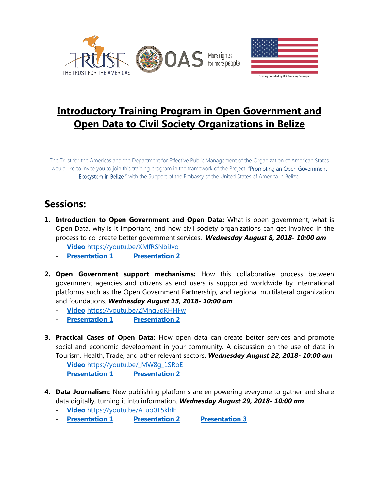



# **Introductory Training Program in Open Government and Open Data to Civil Society Organizations in Belize**

The Trust for the Americas and the Department for Effective Public Management of the Organization of American States would like to invite you to join this training program in the framework of the Project: "Promoting an Open Government Ecosystem in Belize," with the Support of the Embassy of the United States of America in Belize.

## **Sessions:**

- **1. Introduction to Open Government and Open Data:** What is open government, what is Open Data, why is it important, and how civil society organizations can get involved in the process to co-create better government services. *Wednesday August 8, 2018- 10:00 am*
	- **[Video](https://youtu.be/XMfRSNbiJvo)** <https://youtu.be/XMfRSNbiJvo>
	- **[Presentation 1](http://portal.oas.org/LinkClick.aspx?fileticket=voL6IWaTeyE%3d&tabid=1814) [Presentation 2](http://portal.oas.org/LinkClick.aspx?fileticket=JiEkpqna6-g%3d&tabid=1814)**
- **2. Open Government support mechanisms:** How this collaborative process between government agencies and citizens as end users is supported worldwide by international platforms such as the Open Government Partnership, and regional multilateral organization and foundations. *Wednesday August 15, 2018- 10:00 am*
	- **[Video](https://youtu.be/ZMnq5qRHHFw)** <https://youtu.be/ZMnq5qRHHFw>
	- **[Presentation 1](http://portal.oas.org/LinkClick.aspx?fileticket=Tx2AKo_49DM%3d&tabid=1814) [Presentation 2](http://portal.oas.org/LinkClick.aspx?fileticket=KFFdrZ88_eM%3d&tabid=1814)**
- **3. Practical Cases of Open Data:** How open data can create better services and promote social and economic development in your community. A discussion on the use of data in Tourism, Health, Trade, and other relevant sectors. *Wednesday August 22, 2018- 10:00 am*
	- **[Video](https://youtu.be/_MW8g_1SRoE)** [https://youtu.be/\\_MW8g\\_1SRoE](https://youtu.be/_MW8g_1SRoE)
	- **[Presentation 1](http://portal.oas.org/LinkClick.aspx?fileticket=udmSeMgAh9A%3d&tabid=1814) [Presentation 2](http://portal.oas.org/LinkClick.aspx?fileticket=dNXTQO3qKFQ%3d&tabid=1814)**
- **4. Data Journalism:** New publishing platforms are empowering everyone to gather and share data digitally, turning it into information. *Wednesday August 29, 2018- 10:00 am*
	- **[Video](https://youtu.be/A_uo0T5khlE)** [https://youtu.be/A\\_uo0T5khlE](https://youtu.be/A_uo0T5khlE)
	- **[Presentation 1](http://portal.oas.org/LinkClick.aspx?fileticket=qZFFcZ2iTQc%3d&tabid=1814) [Presentation 2](http://portal.oas.org/LinkClick.aspx?fileticket=rnPePpkAy-I%3d&tabid=1814) [Presentation 3](http://portal.oas.org/LinkClick.aspx?fileticket=_XKloNPguiQ%3d&tabid=1814)**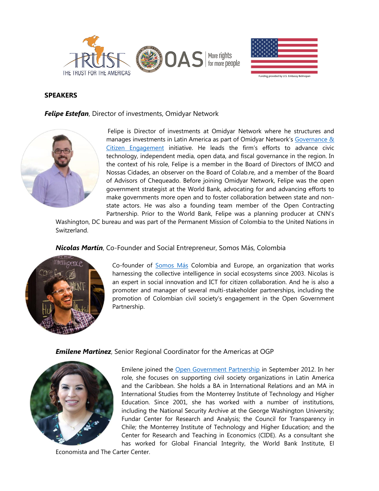



### **SPEAKERS**

*Felipe Estefan*, Director of investments, Omidyar Network



Felipe is Director of investments at Omidyar Network where he structures and manages investments in Latin America as part of Omidyar Network's Governance & [Citizen Engagement](https://www.omidyar.com/our-work/governance-citizen-engagement) initiative. He leads the firm's efforts to advance civic technology, independent media, open data, and fiscal governance in the region. In the context of his role, Felipe is a member in the Board of Directors of IMCO and Nossas Cidades, an observer on the Board of Colab.re, and a member of the Board of Advisors of Chequeado. Before joining Omidyar Network, Felipe was the open government strategist at the World Bank, advocating for and advancing efforts to make governments more open and to foster collaboration between state and nonstate actors. He was also a founding team member of the Open Contracting Partnership. Prior to the World Bank, Felipe was a planning producer at CNN's

Washington, DC bureau and was part of the Permanent Mission of Colombia to the United Nations in Switzerland.

*Nicolas Martín*, Co-Founder and Social Entrepreneur, Somos Más, Colombia



Co-founder of **Somos Más** Colombia and Europe, an organization that works harnessing the collective intelligence in social ecosystems since 2003. Nicolas is an expert in social innovation and ICT for citizen collaboration. And he is also a promoter and manager of several multi-stakeholder partnerships, including the promotion of Colombian civil society's engagement in the Open Government Partnership.

#### *Emilene Martinez*, Senior Regional Coordinator for the Americas at OGP



Emilene joined the [Open Government Partnership](https://www.opengovpartnership.org/) in September 2012. In her role, she focuses on supporting civil society organizations in Latin America and the Caribbean. She holds a BA in International Relations and an MA in International Studies from the Monterrey Institute of Technology and Higher Education. Since 2001, she has worked with a number of institutions, including the National Security Archive at the George Washington University; Fundar Center for Research and Analysis; the Council for Transparency in Chile; the Monterrey Institute of Technology and Higher Education; and the Center for Research and Teaching in Economics (CIDE). As a consultant she has worked for Global Financial Integrity, the World Bank Institute, El

Economista and The Carter Center.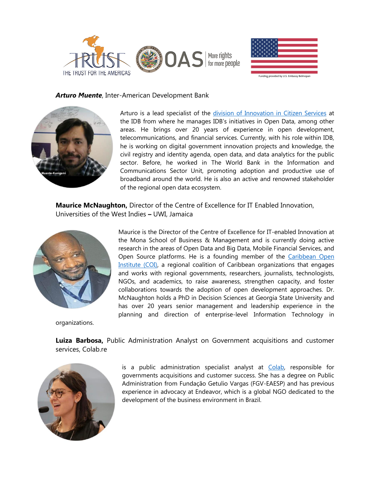



#### *Arturo Muente*, Inter-American Development Bank



Arturo is a lead specialist of the [division of Innovation in Citizen Services](https://www.iadb.org/en/sector/reform-modernization-of-the-state/public-management%2C20373.html) at the IDB from where he manages IDB's initiatives in Open Data, among other areas. He brings over 20 years of experience in open development, telecommunications, and financial services. Currently, with his role within IDB, he is working on digital government innovation projects and knowledge, the civil registry and identity agenda, open data, and data analytics for the public sector. Before, he worked in The World Bank in the Information and Communications Sector Unit, promoting adoption and productive use of broadband around the world. He is also an active and renowned stakeholder of the regional open data ecosystem.

**Maurice McNaughton,** Director of the Centre of Excellence for IT Enabled Innovation, Universities of the West Indies **–** UWI, Jamaica



Maurice is the Director of the Centre of Excellence for IT-enabled Innovation at the Mona School of Business & Management and is currently doing active research in the areas of Open Data and Big Data, Mobile Financial Services, and Open Source platforms. He is a founding member of the [Caribbean Open](http://caribbeanopeninstitute.org/)  [Institute](http://caribbeanopeninstitute.org/) (COI), a regional coalition of Caribbean organizations that engages and works with regional governments, researchers, journalists, technologists, NGOs, and academics, to raise awareness, strengthen capacity, and foster collaborations towards the adoption of open development approaches. Dr. McNaughton holds a PhD in Decision Sciences at Georgia State University and has over 20 years senior management and leadership experience in the planning and direction of enterprise-level Information Technology in

organizations.

**Luiza Barbosa,** Public Administration Analyst on Government acquisitions and customer services, Colab.re



is a public administration specialist analyst at [Colab,](https://www.colab.re/) responsible for governments acquisitions and customer success. She has a degree on Public Administration from Fundação Getulio Vargas (FGV-EAESP) and has previous experience in advocacy at Endeavor, which is a global NGO dedicated to the development of the business environment in Brazil.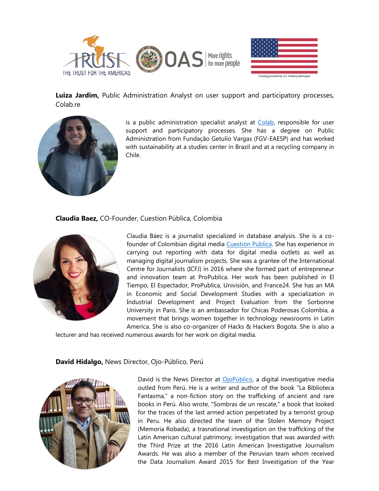



**Luiza Jardim,** Public Administration Analyst on user support and participatory processes, Colab.re



is a public administration specialist analyst at [Colab,](https://www.colab.re/) responsible for user support and participatory processes. She has a degree on Public Administration from Fundação Getulio Vargas (FGV-EAESP) and has worked with sustainability at a studies center in Brazil and at a recycling company in Chile.

**Claudia Baez,** CO-Founder, Cuestion Pública, Colombia



Claudia Báez is a journalist specialized in database analysis. She is a cofounder of Colombian digital media [Cuestión Pública.](https://cuestionpublica.com/) She has experience in carrying out reporting with data for digital media outlets as well as managing digital journalism projects. She was a grantee of the International Centre for Journalists (ICFJ) in 2016 where she formed part of entrepreneur and innovation team at ProPublica. Her work has been published in El Tiempo, El Espectador, ProPublica, Univisión, and France24. She has an MA in Economic and Social Development Studies with a specialization in Industrial Development and Project Evaluation from the Sorbonne University in Paris. She is an ambassador for Chicas Poderosas Colombia, a movement that brings women together in technology newsrooms in Latin America. She is also co-organizer of Hacks & Hackers Bogota. She is also a

lecturer and has received numerous awards for her work on digital media.

#### **David Hidalgo,** News Director, Ojo-Público, Perú



David is the News Director at *OjoPúblico*, a digital investigative media outled from Perú. He is a writer and author of the book "La Biblioteca Fantasma," a non-fiction story on the trafficking of ancient and rare books in Perú. Also wrote, "Sombras de un rescate," a book that looked for the traces of the last armed action perpetrated by a terrorist group in Peru. He also directed the team of the Stolen Memory Project (Memoria Robada), a trasnational investigation on the trafficking of the Latin American cultural patrimony; investigation that was awarded with the Third Prize at the 2016 Latin American Investigative Journalism Awards. He was also a member of the Peruvian team whom received the Data Journalism Award 2015 for Best Investigation of the Year